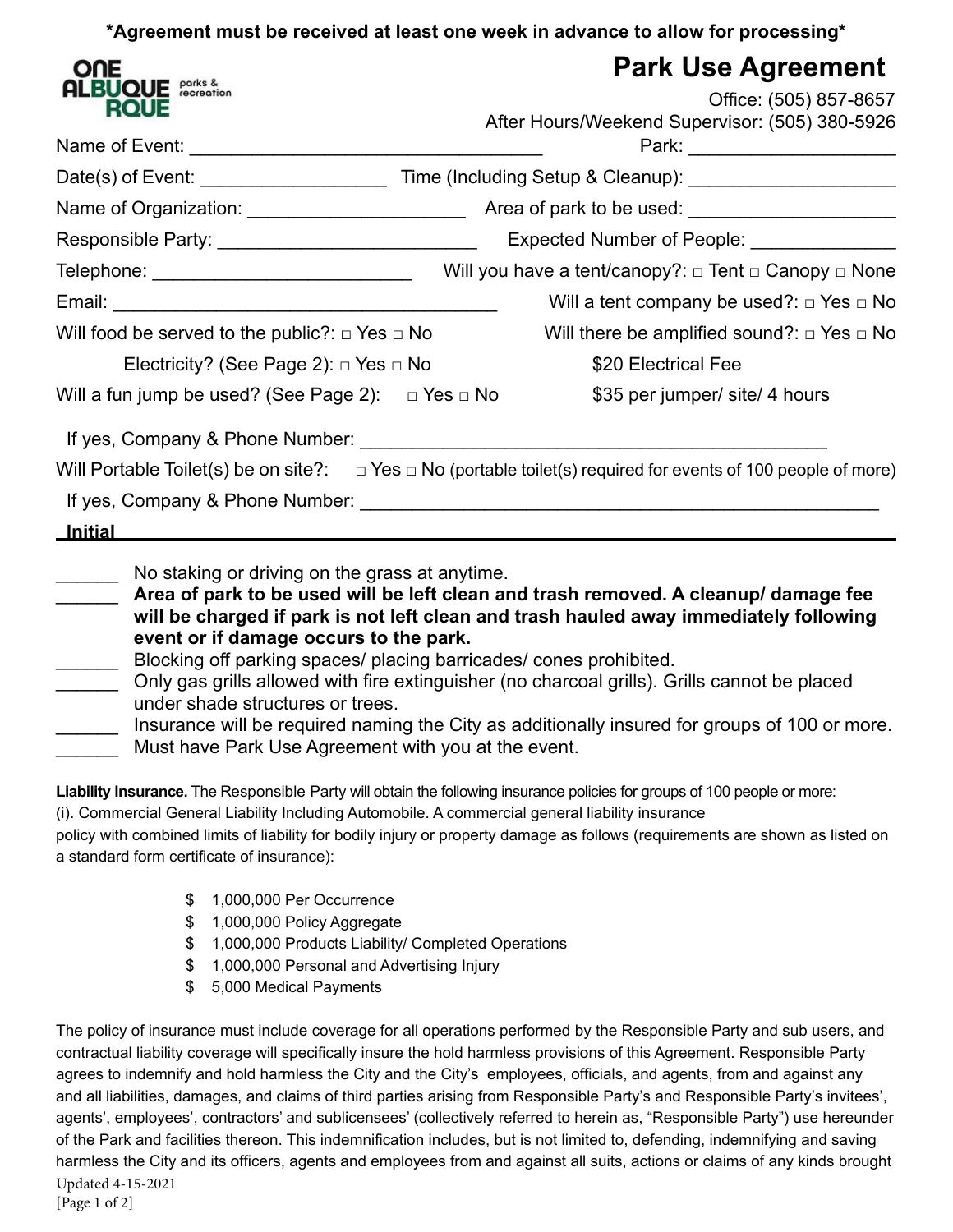**\*Agreement must be received at least one week in advance to allow for processing\***

| ONE                                                                                                                                                                                                                            | <b>Park Use Agreement</b>                                                                                                |  |
|--------------------------------------------------------------------------------------------------------------------------------------------------------------------------------------------------------------------------------|--------------------------------------------------------------------------------------------------------------------------|--|
| <b>ALBUQUE <i><u>Parks &amp;</u></i></b><br><b>ROUE</b>                                                                                                                                                                        | Office: (505) 857-8657                                                                                                   |  |
|                                                                                                                                                                                                                                | After Hours/Weekend Supervisor: (505) 380-5926                                                                           |  |
|                                                                                                                                                                                                                                |                                                                                                                          |  |
|                                                                                                                                                                                                                                |                                                                                                                          |  |
|                                                                                                                                                                                                                                |                                                                                                                          |  |
|                                                                                                                                                                                                                                | Expected Number of People: _______________                                                                               |  |
|                                                                                                                                                                                                                                |                                                                                                                          |  |
|                                                                                                                                                                                                                                | Will a tent company be used?: $\Box$ Yes $\Box$ No                                                                       |  |
| Will food be served to the public?: $\Box$ Yes $\Box$ No                                                                                                                                                                       | Will there be amplified sound?: $\Box$ Yes $\Box$ No                                                                     |  |
| Electricity? (See Page 2): $\Box$ Yes $\Box$ No                                                                                                                                                                                | \$20 Electrical Fee                                                                                                      |  |
| Will a fun jump be used? (See Page 2): $\Box$ Yes $\Box$ No                                                                                                                                                                    | \$35 per jumper/ site/ 4 hours                                                                                           |  |
| If yes, Company & Phone Number: The Company of the Company of the Company of the Company of the Company of the Company of the Company of the Company of the Company of the Company of the Company of the Company of the Compan |                                                                                                                          |  |
|                                                                                                                                                                                                                                | Will Portable Toilet(s) be on site?: $\Box$ Yes $\Box$ No (portable toilet(s) required for events of 100 people of more) |  |
|                                                                                                                                                                                                                                |                                                                                                                          |  |
| <u>__Initial__________</u><br><u> 1980 - Johann John Stone, mars eta biztanleria (</u>                                                                                                                                         |                                                                                                                          |  |
| No staking or driving on the grass at anytime.                                                                                                                                                                                 |                                                                                                                          |  |
|                                                                                                                                                                                                                                | Area of park to be used will be left clean and trash removed. A cleanup/ damage fee                                      |  |
|                                                                                                                                                                                                                                | will be charged if park is not left clean and trash hauled away immediately following                                    |  |
| event or if damage occurs to the park.                                                                                                                                                                                         |                                                                                                                          |  |
| Blocking off parking spaces/ placing barricades/ cones prohibited.                                                                                                                                                             |                                                                                                                          |  |
| under shade structures or trees.                                                                                                                                                                                               | Only gas grills allowed with fire extinguisher (no charcoal grills). Grills cannot be placed                             |  |
|                                                                                                                                                                                                                                | Insurance will be required naming the City as additionally insured for groups of 100 or more.                            |  |
| Must have Park Use Agreement with you at the event.                                                                                                                                                                            |                                                                                                                          |  |

**Liability Insurance.** The Responsible Party will obtain the following insurance policies for groups of 100 people or more: (i). Commercial General Liability Including Automobile. A commercial general liability insurance policy with combined limits of liability for bodily injury or property damage as follows (requirements are shown as listed on a standard form certificate of insurance):

- \$ 1,000,000 Per Occurrence
- \$ 1,000,000 Policy Aggregate
- \$ 1,000,000 Products Liability/ Completed Operations
- \$ 1,000,000 Personal and Advertising Injury
- \$ 5,000 Medical Payments

The policy of insurance must include coverage for all operations performed by the Responsible Party and sub users, and contractual liability coverage will specifically insure the hold harmless provisions of this Agreement. Responsible Party agrees to indemnify and hold harmless the City and the City's employees, officials, and agents, from and against any and all liabilities, damages, and claims of third parties arising from Responsible Party's and Responsible Party's invitees', agents', employees', contractors' and sublicensees' (collectively referred to herein as, "Responsible Party") use hereunder of the Park and facilities thereon. This indemnification includes, but is not limited to, defending, indemnifying and saving harmless the City and its officers, agents and employees from and against all suits, actions or claims of any kinds brought Updated 4-15-2021 [Page 1 of 2]